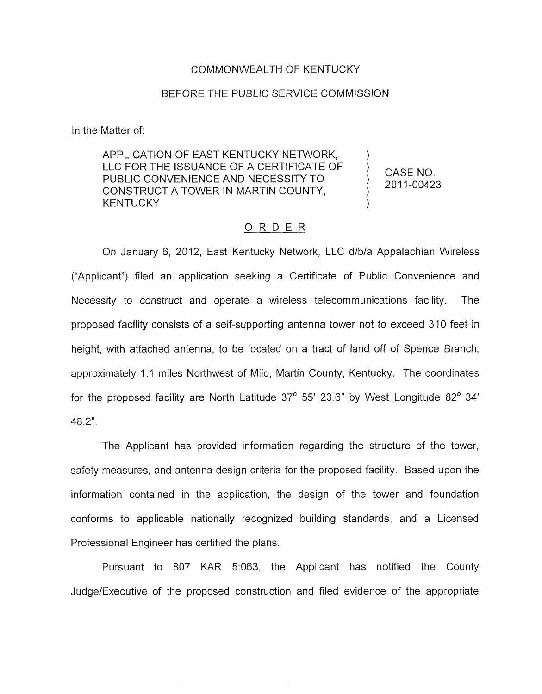## COMMONWEALTH OF KENTUCKY

## BEFORE THE PUBLIC SERVICE COMMISSION

In the Matter of:

APPLICATION OF EAST KENTUCKY NETWORK, LLC FOR THE ISSUANCE OF A CERTIFICATE OF PUBLIC CONVENIENCE AND NECESSITY TO CONSTRUCT A TOWER IN MARTIN COUNTY, **KENTUCKY** 

) CASE NO, 2011-00423

## ORDER

On January 6, 2012, East Kentucky Network, LLC d/b/a Appalachian Wireless ("Applicant") filed an application seeking a Certificate of Public Convenience and Necessity to construct and operate a wireless telecommunications facility. The proposed facility consists of a self-supporting antenna tower not to exceed 310 feet in height, with attached antenna, to be located on a tract of land off of Spence Branch, approximately 1.1 miles Northwest of Milo, Martin County, Kentucky. The coordinates for the proposed facility are North Latitude  $37^\circ$  55' 23.6" by West Longitude  $82^\circ$  34' 48.2".

The Applicant has provided information regarding the structure of the tower, safety measures, and antenna design criteria for the proposed facility. Based upon the information contained in the application, the design of the tower and foundation conforms to applicable nationally recognized building standards, and a Licensed Professional Engineer has certified the plans.

Pursuant to 807 KAR 5:063, the Applicant has notified the County Judge/Executive of the proposed construction and filed evidence of the appropriate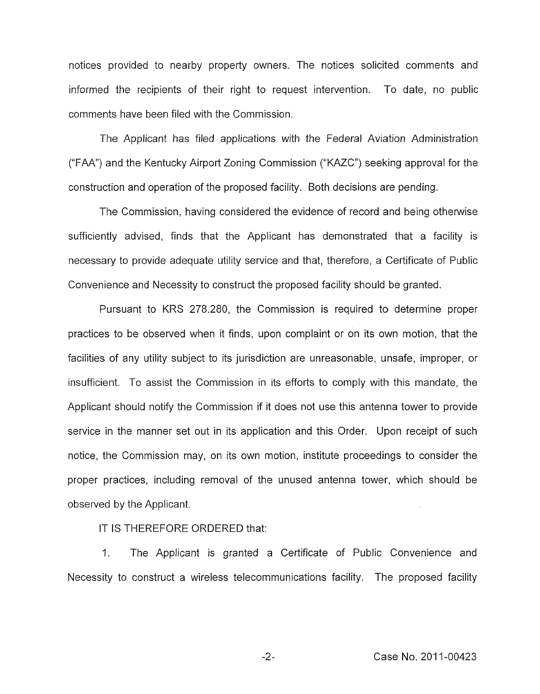notices provided to nearby property owners. The notices solicited comments and informed the recipients of their right to request intervention. To date, no public comments have been filed with the Commission.

The Applicant has filed applications with the Federal Aviation Administration ("FAA") and the Kentucky Airport Zoning Commission ("KnZC") seeking approval for the construction and operation of the proposed facility. Both decisions are pending.

The Commission, having considered the evidence of record and being otherwise sufficiently advised, finds that the Applicant has demonstrated that a facility is necessary to provide adequate utility service and that, therefore, a Certificate of Public Convenience and Necessity to construct the proposed facility should be granted.

Pursuant to KRS 278.280, the Commission is required to determine proper practices to be observed when it finds, upon complaint or on its own motion, that the facilities of any utility subject to its jurisdiction are unreasonable, unsafe, improper, or insufficient. To assist the Commission in its efforts to comply with this mandate, the Applicant should notify the Commission if it does not use this antenna tower to provide service in the manner set out in its application and this Order. Upon receipt of such notice, the Commission may, on its own motion, institute proceedings to consider the proper practices, including removal of the unused antenna tower, which should be observed by the Applicant.

IT IS THEREFORE ORDERED that:

1. The Applicant is granted a Certificate of Public Convenience and Necessity to construct a wireless telecommunications facility. The proposed facility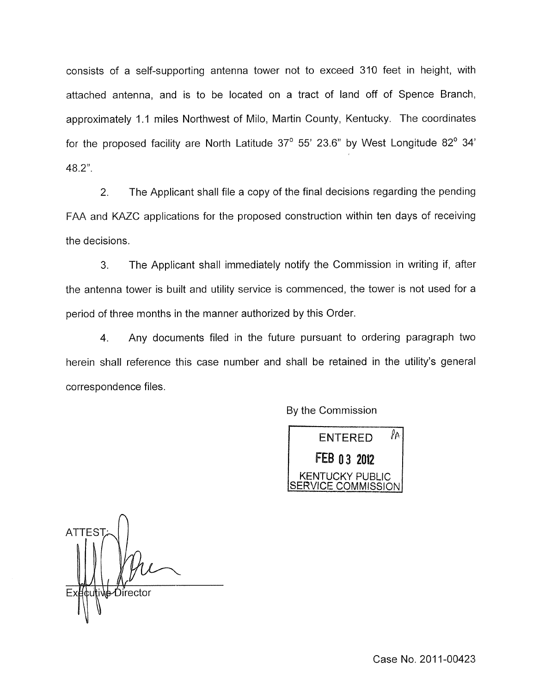consists of a self-supporting antenna tower not to exceed 310 feet in height, with attached antenna, and is to be located on a tract of land off of Spence Branch, approximately 1.1 miles Northwest of Milo, Martin County, Kentucky. The coordinates for the proposed facility are North Latitude 37° 55' 23.6" by West Longitude 82° 34' 48.2".

2. The Applicant shall file a copy of the final decisions regarding the pending FAA and KAZC applications for the proposed construction within ten days of receiving the decisions.

3. The Applicant shall immediately notify the Commission in writing if, after the antenna tower is built and utility service is commenced, the tower is not used for a period of three months in the manner authorized by this Order.

4. Any documents filed in the future pursuant to ordering paragraph two herein shall reference this case number and shall be retained in the utility's general correspondence files.

By the Commission

ENTERED *Ifi*  FEB 03 2012 **KENTUCKY PUBLIC** VICE COMMISSION

 $\bigcap$ **ATTES** էս∖tive∕Director